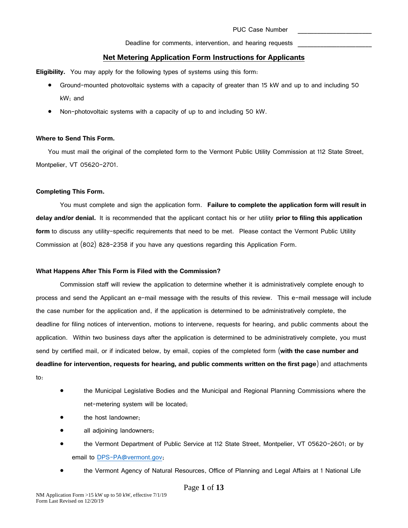## **Net Metering Application Form Instructions for Applicants**

**Eligibility.** You may apply for the following types of systems using this form:

- Ground-mounted photovoltaic systems with a capacity of greater than 15 kW and up to and including 50 kW; and
- Non-photovoltaic systems with a capacity of up to and including 50 kW.

#### **Where to Send This Form.**

You must mail the original of the completed form to the Vermont Public Utility Commission at 112 State Street, Montpelier, VT 05620-2701.

#### **Completing This Form.**

You must complete and sign the application form. **Failure to complete the application form will result in delay and/or denial.** It is recommended that the applicant contact his or her utility **prior to filing this application form** to discuss any utility-specific requirements that need to be met. Please contact the Vermont Public Utility Commission at (802) 828-2358 if you have any questions regarding this Application Form.

### **What Happens After This Form is Filed with the Commission?**

Commission staff will review the application to determine whether it is administratively complete enough to process and send the Applicant an e-mail message with the results of this review. This e-mail message will include the case number for the application and, if the application is determined to be administratively complete, the deadline for filing notices of intervention, motions to intervene, requests for hearing, and public comments about the application. Within two business days after the application is determined to be administratively complete, you must send by certified mail, or if indicated below, by email, copies of the completed form (**with the case number and deadline for intervention, requests for hearing, and public comments written on the first page**) and attachments to:

- the Municipal Legislative Bodies and the Municipal and Regional Planning Commissions where the net-metering system will be located;
- the host landowner;
- all adjoining landowners;
- the Vermont Department of Public Service at 112 State Street, Montpelier, VT 05620-2601; or by email to [DPS-PA@vermont.gov;](mailto:DPS-PA@vermont.gov)
- the Vermont Agency of Natural Resources, Office of Planning and Legal Affairs at 1 National Life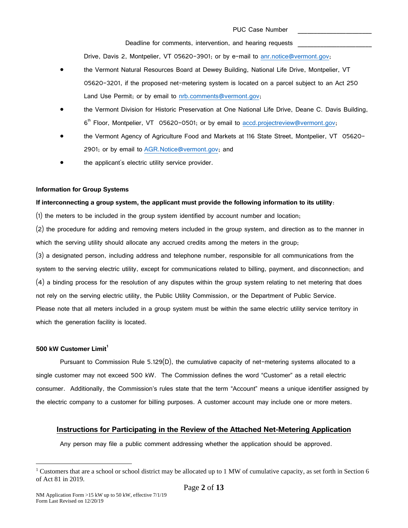Drive, Davis 2, Montpelier, VT 05620-3901; or by e-mail to [anr.notice@vermont.gov;](mailto:anr.notice@vermont.gov)

- the Vermont Natural Resources Board at Dewey Building, National Life Drive, Montpelier, VT 05620-3201, if the proposed net-metering system is located on a parcel subject to an Act 250 Land Use Permit; or by email to [nrb.comments@vermont.gov;](mailto:nrb.comments@vermont.gov)
- the Vermont Division for Historic Preservation at One National Life Drive, Deane C. Davis Building, 6<sup>th</sup> Floor, Montpelier, VT 05620-0501; or by email to [accd.projectreview@vermont.gov;](mailto:accd.projectreview@vermont.gov)
- the Vermont Agency of Agriculture Food and Markets at 116 State Street, Montpelier, VT 05620- 2901; or by email to [AGR.Notice@vermont.gov;](mailto:AGR.Notice@vermont.gov) and
- the applicant's electric utility service provider.

#### **Information for Group Systems**

#### **If interconnecting a group system, the applicant must provide the following information to its utility**:

(1) the meters to be included in the group system identified by account number and location;

(2) the procedure for adding and removing meters included in the group system, and direction as to the manner in which the serving utility should allocate any accrued credits among the meters in the group;

(3) a designated person, including address and telephone number, responsible for all communications from the system to the serving electric utility, except for communications related to billing, payment, and disconnection; and (4) a binding process for the resolution of any disputes within the group system relating to net metering that does not rely on the serving electric utility, the Public Utility Commission, or the Department of Public Service. Please note that all meters included in a group system must be within the same electric utility service territory in which the generation facility is located.

#### **500 kW Customer Limit<sup>1</sup>**

Pursuant to Commission Rule 5.129 $(D)$ , the cumulative capacity of net-metering systems allocated to a single customer may not exceed 500 kW. The Commission defines the word "Customer" as a retail electric consumer. Additionally, the Commission's rules state that the term "Account" means a unique identifier assigned by the electric company to a customer for billing purposes. A customer account may include one or more meters.

# **Instructions for Participating in the Review of the Attached Net-Metering Application**

Any person may file a public comment addressing whether the application should be approved.

<sup>&</sup>lt;sup>1</sup> Customers that are a school or school district may be allocated up to 1 MW of cumulative capacity, as set forth in Section 6 of Act 81 in 2019.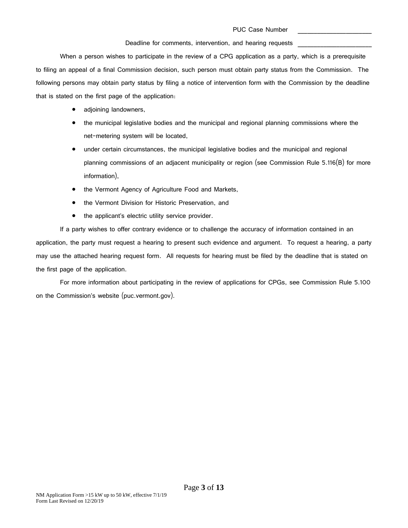When a person wishes to participate in the review of a CPG application as a party, which is a prerequisite to filing an appeal of a final Commission decision, such person must obtain party status from the Commission. The following persons may obtain party status by filing a notice of intervention form with the Commission by the deadline that is stated on the first page of the application:

- adjoining landowners,
- the municipal legislative bodies and the municipal and regional planning commissions where the net-metering system will be located,
- under certain circumstances, the municipal legislative bodies and the municipal and regional planning commissions of an adjacent municipality or region (see Commission Rule 5.116(B) for more information),
- the Vermont Agency of Agriculture Food and Markets,
- the Vermont Division for Historic Preservation, and
- the applicant's electric utility service provider.

If a party wishes to offer contrary evidence or to challenge the accuracy of information contained in an application, the party must request a hearing to present such evidence and argument. To request a hearing, a party may use the attached hearing request form. All requests for hearing must be filed by the deadline that is stated on the first page of the application.

For more information about participating in the review of applications for CPGs, see Commission Rule 5.100 on the Commission's website (puc.vermont.gov).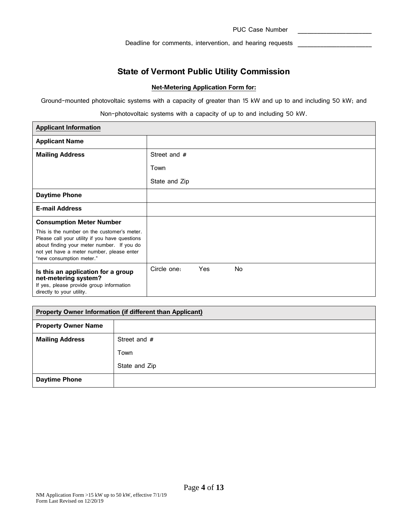PUC Case Number

Deadline for comments, intervention, and hearing requests

# **State of Vermont Public Utility Commission**

## **Net-Metering Application Form for:**

Ground-mounted photovoltaic systems with a capacity of greater than 15 kW and up to and including 50 kW; and

Non-photovoltaic systems with a capacity of up to and including 50 kW.

| <b>Applicant Information</b>                                                                                                                                                                                         |                                        |
|----------------------------------------------------------------------------------------------------------------------------------------------------------------------------------------------------------------------|----------------------------------------|
| <b>Applicant Name</b>                                                                                                                                                                                                |                                        |
| <b>Mailing Address</b>                                                                                                                                                                                               | Street and #                           |
|                                                                                                                                                                                                                      | Town                                   |
|                                                                                                                                                                                                                      | State and Zip                          |
| <b>Daytime Phone</b>                                                                                                                                                                                                 |                                        |
| <b>E-mail Address</b>                                                                                                                                                                                                |                                        |
| <b>Consumption Meter Number</b>                                                                                                                                                                                      |                                        |
| This is the number on the customer's meter.<br>Please call your utility if you have questions<br>about finding your meter number. If you do<br>not yet have a meter number, please enter<br>"new consumption meter." |                                        |
| Is this an application for a group<br>net-metering system?<br>If yes, please provide group information<br>directly to your utility.                                                                                  | <b>No</b><br>Circle one:<br><b>Yes</b> |

| Property Owner Information (if different than Applicant) |               |  |
|----------------------------------------------------------|---------------|--|
| <b>Property Owner Name</b>                               |               |  |
| <b>Mailing Address</b>                                   | Street and #  |  |
|                                                          | Town          |  |
|                                                          | State and Zip |  |
| <b>Daytime Phone</b>                                     |               |  |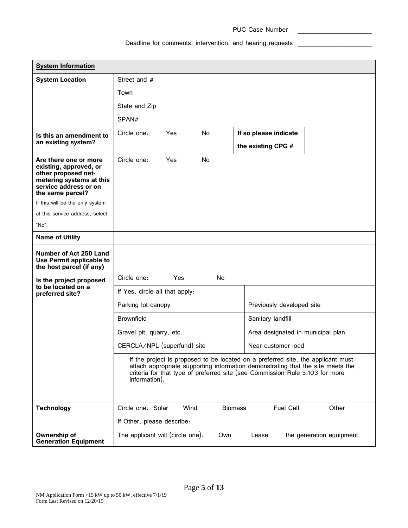# Deadline for comments, intervention, and hearing requests \_\_\_\_\_\_\_\_\_\_\_\_\_\_\_\_\_\_\_\_\_\_

| <b>System Information</b>                                                                                                                       |                                                                                                                                                                                                                                                                      |      |           |                           |                                   |                           |
|-------------------------------------------------------------------------------------------------------------------------------------------------|----------------------------------------------------------------------------------------------------------------------------------------------------------------------------------------------------------------------------------------------------------------------|------|-----------|---------------------------|-----------------------------------|---------------------------|
| <b>System Location</b>                                                                                                                          | Street and #                                                                                                                                                                                                                                                         |      |           |                           |                                   |                           |
|                                                                                                                                                 | Town                                                                                                                                                                                                                                                                 |      |           |                           |                                   |                           |
|                                                                                                                                                 | State and Zip                                                                                                                                                                                                                                                        |      |           |                           |                                   |                           |
|                                                                                                                                                 | SPAN#                                                                                                                                                                                                                                                                |      |           |                           |                                   |                           |
| Is this an amendment to                                                                                                                         | Circle one:                                                                                                                                                                                                                                                          | Yes  | <b>No</b> |                           | If so please indicate             |                           |
| an existing system?                                                                                                                             |                                                                                                                                                                                                                                                                      |      |           |                           | the existing CPG #                |                           |
| Are there one or more<br>existing, approved, or<br>other proposed net-<br>metering systems at this<br>service address or on<br>the same parcel? | Circle one:                                                                                                                                                                                                                                                          | Yes  | No        |                           |                                   |                           |
| If this will be the only system                                                                                                                 |                                                                                                                                                                                                                                                                      |      |           |                           |                                   |                           |
| at this service address, select                                                                                                                 |                                                                                                                                                                                                                                                                      |      |           |                           |                                   |                           |
| "No".                                                                                                                                           |                                                                                                                                                                                                                                                                      |      |           |                           |                                   |                           |
| <b>Name of Utility</b>                                                                                                                          |                                                                                                                                                                                                                                                                      |      |           |                           |                                   |                           |
| Number of Act 250 Land<br>Use Permit applicable to<br>the host parcel (if any)                                                                  |                                                                                                                                                                                                                                                                      |      |           |                           |                                   |                           |
| Is the project proposed                                                                                                                         | Circle one:                                                                                                                                                                                                                                                          | Yes  | <b>No</b> |                           |                                   |                           |
| to be located on a<br>preferred site?                                                                                                           | If Yes, circle all that apply:                                                                                                                                                                                                                                       |      |           |                           |                                   |                           |
|                                                                                                                                                 | Parking lot canopy                                                                                                                                                                                                                                                   |      |           | Previously developed site |                                   |                           |
|                                                                                                                                                 | <b>Brownfield</b>                                                                                                                                                                                                                                                    |      |           |                           | Sanitary landfill                 |                           |
|                                                                                                                                                 | Gravel pit, quarry, etc.                                                                                                                                                                                                                                             |      |           |                           | Area designated in municipal plan |                           |
|                                                                                                                                                 | CERCLA/NPL (superfund) site<br>Near customer load                                                                                                                                                                                                                    |      |           |                           |                                   |                           |
|                                                                                                                                                 | If the project is proposed to be located on a preferred site, the applicant must<br>attach appropriate supporting information demonstrating that the site meets the<br>criteria for that type of preferred site (see Commission Rule 5.103 for more<br>information). |      |           |                           |                                   |                           |
| <b>Technology</b>                                                                                                                               | Circle one: Solar                                                                                                                                                                                                                                                    | Wind |           | <b>Biomass</b>            | <b>Fuel Cell</b>                  | Other                     |
|                                                                                                                                                 | If Other, please describe:                                                                                                                                                                                                                                           |      |           |                           |                                   |                           |
| Ownership of<br><b>Generation Equipment</b>                                                                                                     | The applicant will (circle one).                                                                                                                                                                                                                                     |      | Own       |                           | Lease                             | the generation equipment. |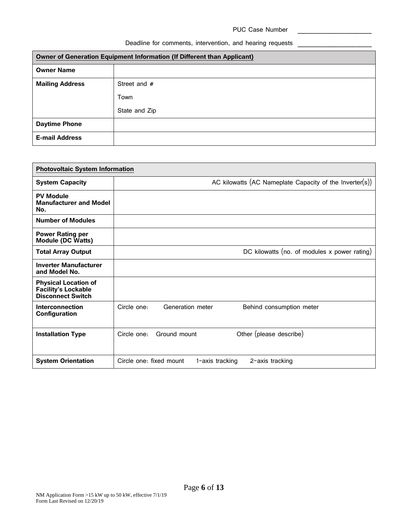# Deadline for comments, intervention, and hearing requests \_\_\_\_\_\_\_\_\_\_\_\_\_\_\_\_\_\_\_\_\_\_

| Owner of Generation Equipment Information (If Different than Applicant) |               |  |  |
|-------------------------------------------------------------------------|---------------|--|--|
| <b>Owner Name</b>                                                       |               |  |  |
| <b>Mailing Address</b>                                                  | Street and #  |  |  |
|                                                                         | Town          |  |  |
|                                                                         | State and Zip |  |  |
| <b>Daytime Phone</b>                                                    |               |  |  |
| <b>E-mail Address</b>                                                   |               |  |  |

| <b>Photovoltaic System Information</b>                                                |                                                               |
|---------------------------------------------------------------------------------------|---------------------------------------------------------------|
| <b>System Capacity</b>                                                                | AC kilowatts (AC Nameplate Capacity of the Inverter(s))       |
| <b>PV Module</b><br><b>Manufacturer and Model</b><br>No.                              |                                                               |
| <b>Number of Modules</b>                                                              |                                                               |
| <b>Power Rating per</b><br><b>Module (DC Watts)</b>                                   |                                                               |
| <b>Total Array Output</b>                                                             | DC kilowatts (no. of modules x power rating)                  |
| <b>Inverter Manufacturer</b><br>and Model No.                                         |                                                               |
| <b>Physical Location of</b><br><b>Facility's Lockable</b><br><b>Disconnect Switch</b> |                                                               |
| Interconnection<br>Configuration                                                      | Circle one:<br>Generation meter<br>Behind consumption meter   |
| <b>Installation Type</b>                                                              | Other (please describe)<br>Ground mount<br>Circle one:        |
| <b>System Orientation</b>                                                             | Circle one: fixed mount<br>1-axis tracking<br>2-axis tracking |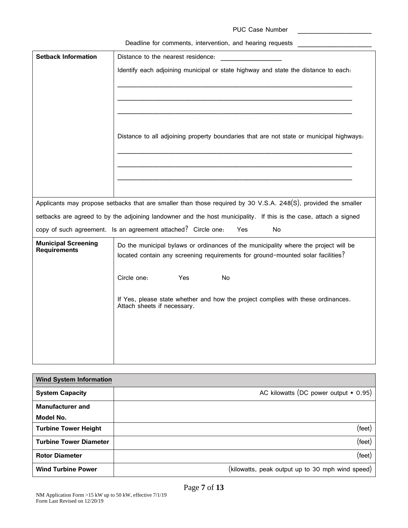| <b>PUC Case Number</b> |  |
|------------------------|--|
|                        |  |

| <b>Setback Information</b>                        | Distance to the nearest residence:                                                                                                                                     |
|---------------------------------------------------|------------------------------------------------------------------------------------------------------------------------------------------------------------------------|
|                                                   | Identify each adjoining municipal or state highway and state the distance to each.                                                                                     |
|                                                   |                                                                                                                                                                        |
|                                                   |                                                                                                                                                                        |
|                                                   |                                                                                                                                                                        |
|                                                   |                                                                                                                                                                        |
|                                                   | Distance to all adjoining property boundaries that are not state or municipal highways:                                                                                |
|                                                   |                                                                                                                                                                        |
|                                                   |                                                                                                                                                                        |
|                                                   |                                                                                                                                                                        |
|                                                   |                                                                                                                                                                        |
|                                                   | Applicants may propose setbacks that are smaller than those required by 30 V.S.A. 248(S), provided the smaller                                                         |
|                                                   | setbacks are agreed to by the adjoining landowner and the host municipality. If this is the case, attach a signed                                                      |
|                                                   | copy of such agreement. Is an agreement attached? Circle one:<br>Yes<br>No                                                                                             |
| <b>Municipal Screening</b><br><b>Requirements</b> | Do the municipal bylaws or ordinances of the municipality where the project will be<br>located contain any screening requirements for ground-mounted solar facilities? |
|                                                   | Circle one:<br>No<br>Yes                                                                                                                                               |
|                                                   | If Yes, please state whether and how the project complies with these ordinances.<br>Attach sheets if necessary.                                                        |
|                                                   |                                                                                                                                                                        |
|                                                   |                                                                                                                                                                        |
|                                                   |                                                                                                                                                                        |
|                                                   |                                                                                                                                                                        |

| <b>Wind System Information</b> |                                                  |
|--------------------------------|--------------------------------------------------|
| <b>System Capacity</b>         | AC kilowatts (DC power output * 0.95)            |
| <b>Manufacturer</b> and        |                                                  |
| Model No.                      |                                                  |
| <b>Turbine Tower Height</b>    | (feet)                                           |
| <b>Turbine Tower Diameter</b>  | $(\text{feet})$                                  |
| <b>Rotor Diameter</b>          | $(\text{feet})$                                  |
| <b>Wind Turbine Power</b>      | (kilowatts, peak output up to 30 mph wind speed) |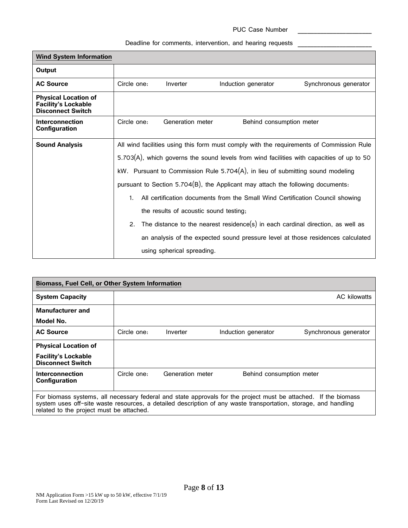| <b>Wind System Information</b>                                                        |                                                                                              |                            |                                                                                    |                                                                                 |  |
|---------------------------------------------------------------------------------------|----------------------------------------------------------------------------------------------|----------------------------|------------------------------------------------------------------------------------|---------------------------------------------------------------------------------|--|
| Output                                                                                |                                                                                              |                            |                                                                                    |                                                                                 |  |
| <b>AC Source</b>                                                                      | Circle one:                                                                                  | Inverter                   | Induction generator                                                                | Synchronous generator                                                           |  |
| <b>Physical Location of</b><br><b>Facility's Lockable</b><br><b>Disconnect Switch</b> |                                                                                              |                            |                                                                                    |                                                                                 |  |
| Interconnection<br>Configuration                                                      | Circle one:                                                                                  | Generation meter           | Behind consumption meter                                                           |                                                                                 |  |
| <b>Sound Analysis</b>                                                                 | All wind facilities using this form must comply with the requirements of Commission Rule     |                            |                                                                                    |                                                                                 |  |
|                                                                                       | 5.703(A), which governs the sound levels from wind facilities with capacities of up to 50    |                            |                                                                                    |                                                                                 |  |
|                                                                                       | kW. Pursuant to Commission Rule 5.704(A), in lieu of submitting sound modeling               |                            |                                                                                    |                                                                                 |  |
|                                                                                       | pursuant to Section 5.704 $(B)$ , the Applicant may attach the following documents:          |                            |                                                                                    |                                                                                 |  |
|                                                                                       | All certification documents from the Small Wind Certification Council showing<br>$1_{\cdot}$ |                            |                                                                                    |                                                                                 |  |
|                                                                                       | the results of acoustic sound testing;                                                       |                            |                                                                                    |                                                                                 |  |
|                                                                                       |                                                                                              |                            | 2. The distance to the nearest residence(s) in each cardinal direction, as well as |                                                                                 |  |
|                                                                                       |                                                                                              |                            |                                                                                    | an analysis of the expected sound pressure level at those residences calculated |  |
|                                                                                       |                                                                                              | using spherical spreading. |                                                                                    |                                                                                 |  |

| <b>Biomass, Fuel Cell, or Other System Information</b>                                                                                                                                                                                                                         |             |                  |                          |                       |
|--------------------------------------------------------------------------------------------------------------------------------------------------------------------------------------------------------------------------------------------------------------------------------|-------------|------------------|--------------------------|-----------------------|
| <b>System Capacity</b>                                                                                                                                                                                                                                                         |             |                  |                          | AC kilowatts          |
| Manufacturer and                                                                                                                                                                                                                                                               |             |                  |                          |                       |
| Model No.                                                                                                                                                                                                                                                                      |             |                  |                          |                       |
| <b>AC Source</b>                                                                                                                                                                                                                                                               | Circle one: | Inverter         | Induction generator      | Synchronous generator |
| <b>Physical Location of</b>                                                                                                                                                                                                                                                    |             |                  |                          |                       |
| <b>Facility's Lockable</b><br><b>Disconnect Switch</b>                                                                                                                                                                                                                         |             |                  |                          |                       |
| Interconnection<br>Configuration                                                                                                                                                                                                                                               | Circle one: | Generation meter | Behind consumption meter |                       |
| For biomass systems, all necessary federal and state approvals for the project must be attached. If the biomass<br>system uses off-site waste resources, a detailed description of any waste transportation, storage, and handling<br>related to the project must be attached. |             |                  |                          |                       |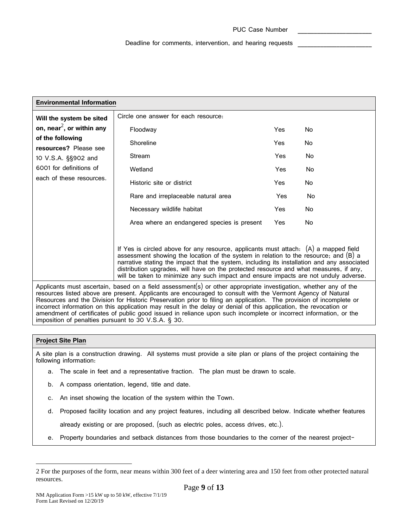| <b>Environmental Information</b>                                                                                                                                                                                                |                                                                                                                                                                                                                                                                                                                                                                                                                                                                |            |     |  |
|---------------------------------------------------------------------------------------------------------------------------------------------------------------------------------------------------------------------------------|----------------------------------------------------------------------------------------------------------------------------------------------------------------------------------------------------------------------------------------------------------------------------------------------------------------------------------------------------------------------------------------------------------------------------------------------------------------|------------|-----|--|
| Will the system be sited                                                                                                                                                                                                        | Circle one answer for each resource.                                                                                                                                                                                                                                                                                                                                                                                                                           |            |     |  |
| on, near <sup>2</sup> , or within any                                                                                                                                                                                           | Floodway                                                                                                                                                                                                                                                                                                                                                                                                                                                       | Yes        | No  |  |
| of the following<br>resources? Please see                                                                                                                                                                                       | Shoreline                                                                                                                                                                                                                                                                                                                                                                                                                                                      | Yes        | No  |  |
| 10 V.S.A. §§902 and                                                                                                                                                                                                             | Stream                                                                                                                                                                                                                                                                                                                                                                                                                                                         | Yes        | No. |  |
| 6001 for definitions of                                                                                                                                                                                                         | Wetland                                                                                                                                                                                                                                                                                                                                                                                                                                                        | Yes        | No  |  |
| each of these resources.                                                                                                                                                                                                        | Historic site or district                                                                                                                                                                                                                                                                                                                                                                                                                                      | Yes        | No. |  |
|                                                                                                                                                                                                                                 | Rare and irreplaceable natural area                                                                                                                                                                                                                                                                                                                                                                                                                            | Yes        | No  |  |
|                                                                                                                                                                                                                                 | Necessary wildlife habitat                                                                                                                                                                                                                                                                                                                                                                                                                                     | Yes        | No  |  |
|                                                                                                                                                                                                                                 | Area where an endangered species is present                                                                                                                                                                                                                                                                                                                                                                                                                    | <b>Yes</b> | No  |  |
|                                                                                                                                                                                                                                 |                                                                                                                                                                                                                                                                                                                                                                                                                                                                |            |     |  |
|                                                                                                                                                                                                                                 | If Yes is circled above for any resource, applicants must attach: $(A)$ a mapped field<br>assessment showing the location of the system in relation to the resource; and (B) a<br>narrative stating the impact that the system, including its installation and any associated<br>distribution upgrades, will have on the protected resource and what measures, if any,<br>will be taken to minimize any such impact and ensure impacts are not unduly adverse. |            |     |  |
| Applicants must ascertain, based on a field assessment(s) or other appropriate investigation, whether any of the<br>resources listed above are present. Applicants are encouraged to consult with the Vermont Agency of Natural |                                                                                                                                                                                                                                                                                                                                                                                                                                                                |            |     |  |

resources listed above are present. Applicants are encouraged to consult with the Vermont Agency of Natural Resources and the Division for Historic Preservation prior to filing an application. The provision of incomplete or incorrect information on this application may result in the delay or denial of this application, the revocation or amendment of certificates of public good issued in reliance upon such incomplete or incorrect information, or the imposition of penalties pursuant to 30 V.S.A. § 30.

## **Project Site Plan**

A site plan is a construction drawing. All systems must provide a site plan or plans of the project containing the following information:

- a. The scale in feet and a representative fraction. The plan must be drawn to scale.
- b. A compass orientation, legend, title and date.
- c. An inset showing the location of the system within the Town.
- d. Proposed facility location and any project features, including all described below. Indicate whether features

already existing or are proposed, (such as electric poles, access drives, etc.).

e. Property boundaries and setback distances from those boundaries to the corner of the nearest project-

<sup>2</sup> For the purposes of the form, near means within 300 feet of a deer wintering area and 150 feet from other protected natural resources.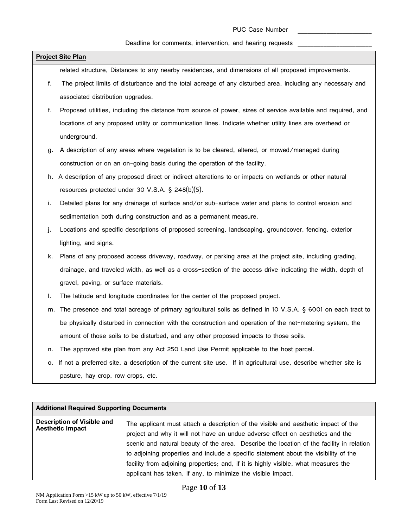# Deadline for comments, intervention, and hearing requests \_\_\_\_\_\_\_\_\_\_\_\_\_\_\_\_\_\_\_\_\_\_

|    | <b>Project Site Plan</b>                                                                                         |
|----|------------------------------------------------------------------------------------------------------------------|
|    | related structure, Distances to any nearby residences, and dimensions of all proposed improvements.              |
| f. | The project limits of disturbance and the total acreage of any disturbed area, including any necessary and       |
|    | associated distribution upgrades.                                                                                |
| f. | Proposed utilities, including the distance from source of power, sizes of service available and required, and    |
|    | locations of any proposed utility or communication lines. Indicate whether utility lines are overhead or         |
|    | underground.                                                                                                     |
| g. | A description of any areas where vegetation is to be cleared, altered, or mowed/managed during                   |
|    | construction or on an on-going basis during the operation of the facility.                                       |
|    | h. A description of any proposed direct or indirect alterations to or impacts on wetlands or other natural       |
|    | resources protected under 30 V.S.A. § 248(b)(5).                                                                 |
| i. | Detailed plans for any drainage of surface and/or sub-surface water and plans to control erosion and             |
|    | sedimentation both during construction and as a permanent measure.                                               |
| j. | Locations and specific descriptions of proposed screening, landscaping, groundcover, fencing, exterior           |
|    | lighting, and signs.                                                                                             |
| k. | Plans of any proposed access driveway, roadway, or parking area at the project site, including grading,          |
|    | drainage, and traveled width, as well as a cross-section of the access drive indicating the width, depth of      |
|    | gravel, paving, or surface materials.                                                                            |
| I. | The latitude and longitude coordinates for the center of the proposed project.                                   |
| m. | The presence and total acreage of primary agricultural soils as defined in 10 V.S.A. § 6001 on each tract to     |
|    | be physically disturbed in connection with the construction and operation of the net-metering system, the        |
|    | amount of those soils to be disturbed, and any other proposed impacts to those soils.                            |
| n. | The approved site plan from any Act 250 Land Use Permit applicable to the host parcel.                           |
| о. | If not a preferred site, a description of the current site use. If in agricultural use, describe whether site is |
|    | pasture, hay crop, row crops, etc.                                                                               |

| <b>Additional Required Supporting Documents</b>              |                                                                                                                                                                                                                                                                                                                                                                                                                                                                                                                 |  |  |  |
|--------------------------------------------------------------|-----------------------------------------------------------------------------------------------------------------------------------------------------------------------------------------------------------------------------------------------------------------------------------------------------------------------------------------------------------------------------------------------------------------------------------------------------------------------------------------------------------------|--|--|--|
| <b>Description of Visible and</b><br><b>Aesthetic Impact</b> | The applicant must attach a description of the visible and aesthetic impact of the<br>project and why it will not have an undue adverse effect on aesthetics and the<br>scenic and natural beauty of the area. Describe the location of the facility in relation<br>to adjoining properties and include a specific statement about the visibility of the<br>facility from adjoining properties, and, if it is highly visible, what measures the<br>applicant has taken, if any, to minimize the visible impact. |  |  |  |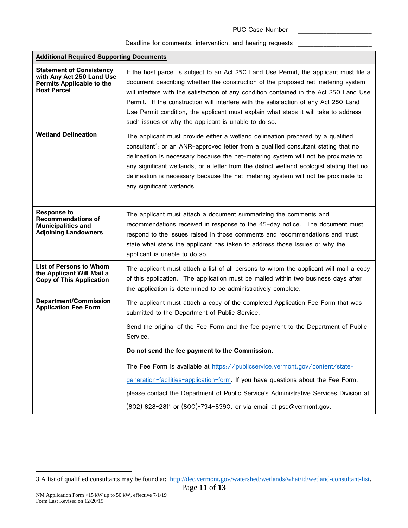| <b>Additional Required Supporting Documents</b>                                                                        |                                                                                                                                                                                                                                                                                                                                                                                                                                                                                                              |  |  |  |  |
|------------------------------------------------------------------------------------------------------------------------|--------------------------------------------------------------------------------------------------------------------------------------------------------------------------------------------------------------------------------------------------------------------------------------------------------------------------------------------------------------------------------------------------------------------------------------------------------------------------------------------------------------|--|--|--|--|
| <b>Statement of Consistency</b><br>with Any Act 250 Land Use<br><b>Permits Applicable to the</b><br><b>Host Parcel</b> | If the host parcel is subject to an Act 250 Land Use Permit, the applicant must file a<br>document describing whether the construction of the proposed net-metering system<br>will interfere with the satisfaction of any condition contained in the Act 250 Land Use<br>Permit. If the construction will interfere with the satisfaction of any Act 250 Land<br>Use Permit condition, the applicant must explain what steps it will take to address<br>such issues or why the applicant is unable to do so. |  |  |  |  |
| <b>Wetland Delineation</b>                                                                                             | The applicant must provide either a wetland delineation prepared by a qualified<br>consultant <sup>3</sup> ; or an ANR-approved letter from a qualified consultant stating that no<br>delineation is necessary because the net-metering system will not be proximate to<br>any significant wetlands; or a letter from the district wetland ecologist stating that no<br>delineation is necessary because the net-metering system will not be proximate to<br>any significant wetlands.                       |  |  |  |  |
| <b>Response to</b><br><b>Recommendations of</b><br><b>Municipalities and</b><br><b>Adjoining Landowners</b>            | The applicant must attach a document summarizing the comments and<br>recommendations received in response to the 45-day notice. The document must<br>respond to the issues raised in those comments and recommendations and must<br>state what steps the applicant has taken to address those issues or why the<br>applicant is unable to do so.                                                                                                                                                             |  |  |  |  |
| <b>List of Persons to Whom</b><br>the Applicant Will Mail a<br><b>Copy of This Application</b>                         | The applicant must attach a list of all persons to whom the applicant will mail a copy<br>of this application. The application must be mailed within two business days after<br>the application is determined to be administratively complete.                                                                                                                                                                                                                                                               |  |  |  |  |
| <b>Department/Commission</b><br><b>Application Fee Form</b>                                                            | The applicant must attach a copy of the completed Application Fee Form that was<br>submitted to the Department of Public Service.                                                                                                                                                                                                                                                                                                                                                                            |  |  |  |  |
|                                                                                                                        | Send the original of the Fee Form and the fee payment to the Department of Public<br>Service.                                                                                                                                                                                                                                                                                                                                                                                                                |  |  |  |  |
|                                                                                                                        | Do not send the fee payment to the Commission.                                                                                                                                                                                                                                                                                                                                                                                                                                                               |  |  |  |  |
|                                                                                                                        | The Fee Form is available at https://publicservice.vermont.gov/content/state-                                                                                                                                                                                                                                                                                                                                                                                                                                |  |  |  |  |
|                                                                                                                        | generation-facilities-application-form. If you have questions about the Fee Form,                                                                                                                                                                                                                                                                                                                                                                                                                            |  |  |  |  |
|                                                                                                                        | please contact the Department of Public Service's Administrative Services Division at                                                                                                                                                                                                                                                                                                                                                                                                                        |  |  |  |  |
|                                                                                                                        | (802) 828-2811 or (800)-734-8390, or via email at psd@vermont.gov.                                                                                                                                                                                                                                                                                                                                                                                                                                           |  |  |  |  |

<sup>3</sup> A list of qualified consultants may be found at: [http://dec.vermont.gov/watershed/wetlands/what/id/wetland-consultant-list.](http://dec.vermont.gov/watershed/wetlands/what/id/wetland-consultant-list)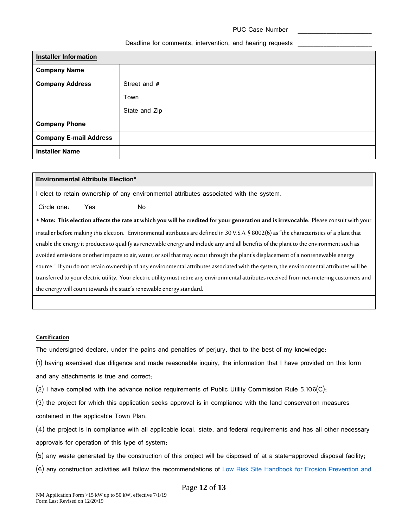| <b>Installer Information</b>  |               |  |  |
|-------------------------------|---------------|--|--|
| <b>Company Name</b>           |               |  |  |
| <b>Company Address</b>        | Street and #  |  |  |
|                               | Town          |  |  |
|                               | State and Zip |  |  |
| <b>Company Phone</b>          |               |  |  |
| <b>Company E-mail Address</b> |               |  |  |
| <b>Installer Name</b>         |               |  |  |

## **Environmental Attribute Election\***

I elect to retain ownership of any environmental attributes associated with the system.

Circle one: Yes No

\* **Note: This election affects the rateat which you will be credited for your generation and is irrevocable**. Please consult with your installer before making this election. Environmental attributes are defined in 30 V.S.A. § 8002(6) as "the characteristics of a plant that enable the energy it produces to qualify as renewable energy and include any and all benefits of the plant to the environment such as avoided emissions or other impacts to air, water, or soil that may occur through the plant's displacement of a nonrenewable energy source." If you do not retain ownership of any environmental attributes associated with the system, the environmental attributes will be transferred to your electric utility. Your electric utility must retire any environmental attributes received from net-metering customersand the energy will count towards the state's renewable energy standard.

#### **Certification**

The undersigned declare, under the pains and penalties of perjury, that to the best of my knowledge:

(1) having exercised due diligence and made reasonable inquiry, the information that I have provided on this form

and any attachments is true and correct;

 $(2)$  I have complied with the advance notice requirements of Public Utility Commission Rule 5.106(C);

(3) the project for which this application seeks approval is in compliance with the land conservation measures contained in the applicable Town Plan;

(4) the project is in compliance with all applicable local, state, and federal requirements and has all other necessary approvals for operation of this type of system;

- (5) any waste generated by the construction of this project will be disposed of at a state-approved disposal facility;
- (6) any construction activities will follow the recommendations of Low Risk [Site Handbook for Erosion](http://dec.vermont.gov/sites/dec/files/wsm/stormwater/docs/StormwaterConstructionDischargePermits/sw_low_risk_site_handbook.pdf) Prevention and